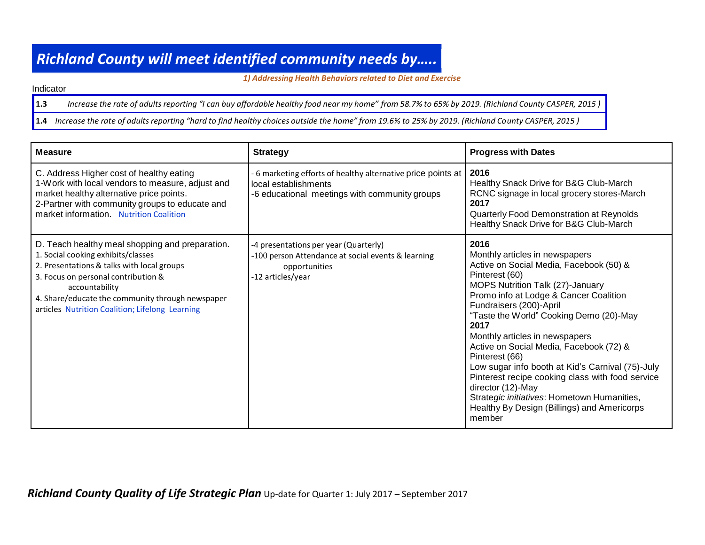## *Richland County will meet identified community needs by…..*

*1) Addressing Health Behaviorsrelated to Diet and Exercise*

Indicator

1.3 Increase the rate of adults reporting "I can buy affordable healthy food near my home" from 58.7% to 65% by 2019. (Richland County CASPER, 2015)

1.4 Increase the rate of adults reporting "hard to find healthy choices outside the home" from 19.6% to 25% by 2019. (Richland County CASPER, 2015)

| <b>Measure</b>                                                                                                                                                                                                                                                                                      | <b>Strategy</b>                                                                                                                     | <b>Progress with Dates</b>                                                                                                                                                                                                                                                                                                                                                                                                                                                                                                                                                                          |
|-----------------------------------------------------------------------------------------------------------------------------------------------------------------------------------------------------------------------------------------------------------------------------------------------------|-------------------------------------------------------------------------------------------------------------------------------------|-----------------------------------------------------------------------------------------------------------------------------------------------------------------------------------------------------------------------------------------------------------------------------------------------------------------------------------------------------------------------------------------------------------------------------------------------------------------------------------------------------------------------------------------------------------------------------------------------------|
| C. Address Higher cost of healthy eating<br>1-Work with local vendors to measure, adjust and<br>market healthy alternative price points.<br>2-Partner with community groups to educate and<br>market information. Nutrition Coalition                                                               | 6 marketing efforts of healthy alternative price points at<br>local establishments<br>-6 educational meetings with community groups | 2016<br>Healthy Snack Drive for B&G Club-March<br>RCNC signage in local grocery stores-March<br>2017<br>Quarterly Food Demonstration at Reynolds<br>Healthy Snack Drive for B&G Club-March                                                                                                                                                                                                                                                                                                                                                                                                          |
| D. Teach healthy meal shopping and preparation.<br>1. Social cooking exhibits/classes<br>2. Presentations & talks with local groups<br>3. Focus on personal contribution &<br>accountability<br>4. Share/educate the community through newspaper<br>articles Nutrition Coalition; Lifelong Learning | -4 presentations per year (Quarterly)<br>-100 person Attendance at social events & learning<br>opportunities<br>-12 articles/year   | 2016<br>Monthly articles in newspapers<br>Active on Social Media, Facebook (50) &<br>Pinterest (60)<br>MOPS Nutrition Talk (27)-January<br>Promo info at Lodge & Cancer Coalition<br>Fundraisers (200)-April<br>"Taste the World" Cooking Demo (20)-May<br>2017<br>Monthly articles in newspapers<br>Active on Social Media, Facebook (72) &<br>Pinterest (66)<br>Low sugar info booth at Kid's Carnival (75)-July<br>Pinterest recipe cooking class with food service<br>director (12)-May<br>Strategic initiatives: Hometown Humanities,<br>Healthy By Design (Billings) and Americorps<br>member |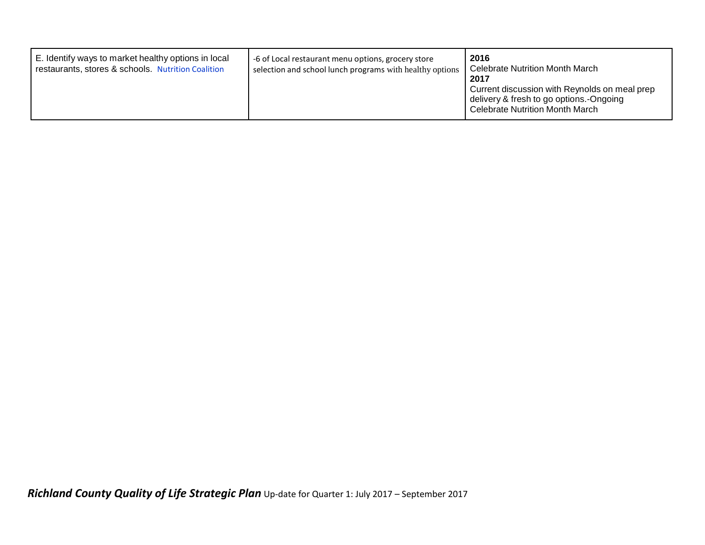| E. Identify ways to market healthy options in local<br>restaurants, stores & schools. Nutrition Coalition | -6 of Local restaurant menu options, grocery store<br>selection and school lunch programs with healthy options | 2016<br>Celebrate Nutrition Month March<br>2017<br>Current discussion with Reynolds on meal prep<br>delivery & fresh to go options.-Ongoing<br><b>Celebrate Nutrition Month March</b> |
|-----------------------------------------------------------------------------------------------------------|----------------------------------------------------------------------------------------------------------------|---------------------------------------------------------------------------------------------------------------------------------------------------------------------------------------|
|-----------------------------------------------------------------------------------------------------------|----------------------------------------------------------------------------------------------------------------|---------------------------------------------------------------------------------------------------------------------------------------------------------------------------------------|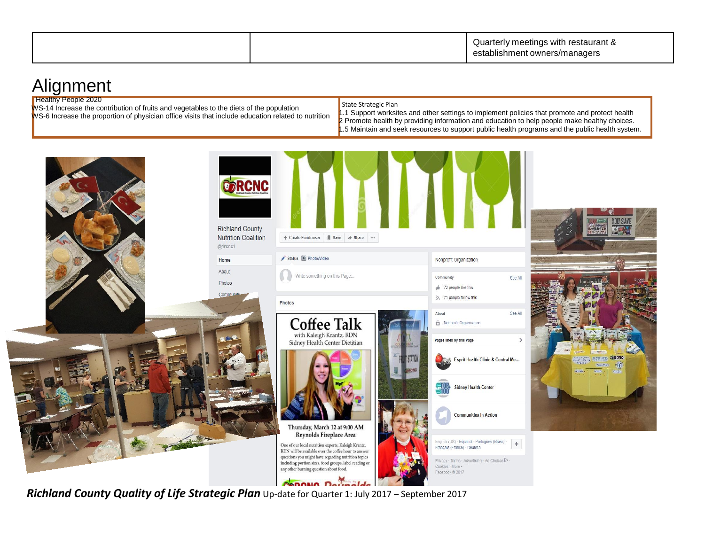|  | Quarterly meetings with restaurant & |
|--|--------------------------------------|
|  | establishment owners/managers        |

## **Alignment**

**Healthy People 2020** 

WS-14 Increase the contribution of fruits and vegetables to the diets of the population WS-6 Increase the proportion of physician office visits that include education related to nutrition

## State Strategic Plan

1.1 Support worksites and other settings to implement policies that promote and protect health 2 Promote health by providing information and education to help people make healthy choices. 1.5 Maintain and seek resources to support public health programs and the public health system.



*Richland County Quality of Life Strategic Plan* Up-date for Quarter 1: July 2017 – September 2017